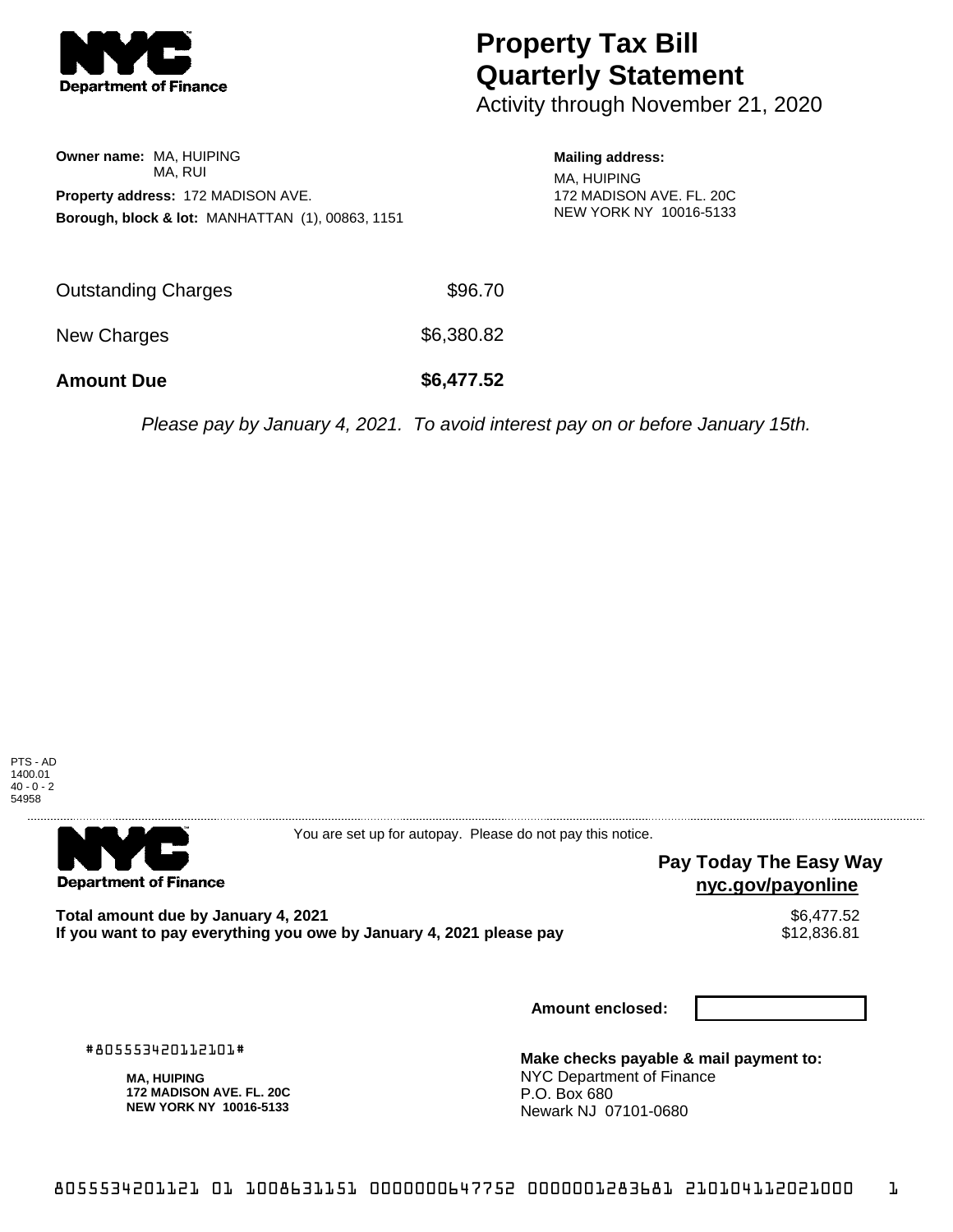

# **Property Tax Bill Quarterly Statement**

Activity through November 21, 2020

**Owner name:** MA, HUIPING MA, RUI **Property address:** 172 MADISON AVE. **Borough, block & lot:** MANHATTAN (1), 00863, 1151

# **Mailing address:**

MA, HUIPING 172 MADISON AVE. FL. 20C NEW YORK NY 10016-5133

| <b>Amount Due</b>   | \$6,477.52 |
|---------------------|------------|
| New Charges         | \$6,380.82 |
| Outstanding Charges | \$96.70    |

Please pay by January 4, 2021. To avoid interest pay on or before January 15th.



**Department of Finance** 

You are set up for autopay. Please do not pay this notice.

### **Pay Today The Easy Way nyc.gov/payonline**

Total amount due by January 4, 2021<br>If you want to pay everything you owe by January 4, 2021 please pay **strategy of the Santa America** S12,836.81 If you want to pay everything you owe by January 4, 2021 please pay

**Amount enclosed:**

#805553420112101#

**MA, HUIPING 172 MADISON AVE. FL. 20C NEW YORK NY 10016-5133**

**Make checks payable & mail payment to:** NYC Department of Finance P.O. Box 680 Newark NJ 07101-0680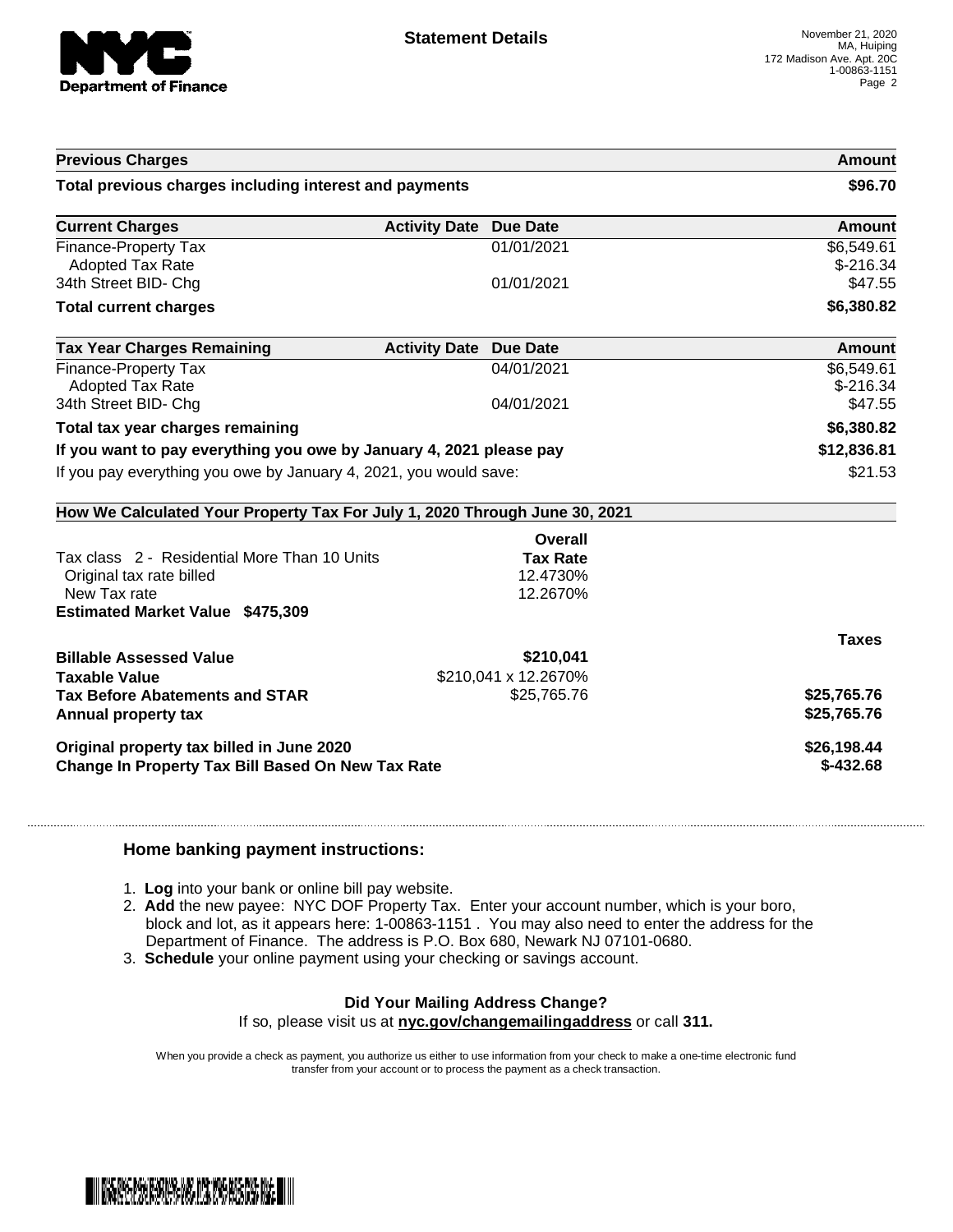

| <b>Previous Charges</b>                                                                                                    |                               |                      | Amount                   |
|----------------------------------------------------------------------------------------------------------------------------|-------------------------------|----------------------|--------------------------|
| Total previous charges including interest and payments                                                                     |                               |                      | \$96.70                  |
| <b>Current Charges</b>                                                                                                     | <b>Activity Date Due Date</b> |                      | Amount                   |
| Finance-Property Tax<br><b>Adopted Tax Rate</b>                                                                            |                               | 01/01/2021           | \$6,549.61<br>$$-216.34$ |
| 34th Street BID- Chg                                                                                                       |                               | 01/01/2021           | \$47.55                  |
| <b>Total current charges</b>                                                                                               |                               |                      | \$6,380.82               |
| <b>Tax Year Charges Remaining</b>                                                                                          | <b>Activity Date</b>          | <b>Due Date</b>      | Amount                   |
| Finance-Property Tax<br><b>Adopted Tax Rate</b>                                                                            |                               | 04/01/2021           | \$6,549.61<br>$$-216.34$ |
| 34th Street BID- Chg                                                                                                       |                               | 04/01/2021           | \$47.55                  |
| Total tax year charges remaining                                                                                           |                               |                      | \$6,380.82               |
| If you want to pay everything you owe by January 4, 2021 please pay                                                        |                               |                      | \$12,836.81              |
| If you pay everything you owe by January 4, 2021, you would save:                                                          |                               |                      | \$21.53                  |
| How We Calculated Your Property Tax For July 1, 2020 Through June 30, 2021                                                 |                               |                      |                          |
|                                                                                                                            |                               | Overall              |                          |
| Tax class 2 - Residential More Than 10 Units                                                                               |                               | <b>Tax Rate</b>      |                          |
| Original tax rate billed<br>New Tax rate                                                                                   |                               | 12.4730%             |                          |
| <b>Estimated Market Value \$475,309</b>                                                                                    |                               | 12.2670%             |                          |
|                                                                                                                            |                               |                      |                          |
|                                                                                                                            |                               |                      |                          |
|                                                                                                                            |                               | \$210,041            | <b>Taxes</b>             |
|                                                                                                                            |                               | \$210,041 x 12.2670% |                          |
|                                                                                                                            |                               | \$25,765.76          | \$25,765.76              |
| <b>Tax Before Abatements and STAR</b>                                                                                      |                               |                      | \$25,765.76              |
| <b>Billable Assessed Value</b><br><b>Taxable Value</b><br>Annual property tax<br>Original property tax billed in June 2020 |                               |                      | \$26,198.44              |

#### **Home banking payment instructions:**

- 1. **Log** into your bank or online bill pay website.
- 2. **Add** the new payee: NYC DOF Property Tax. Enter your account number, which is your boro, block and lot, as it appears here: 1-00863-1151 . You may also need to enter the address for the Department of Finance. The address is P.O. Box 680, Newark NJ 07101-0680.
- 3. **Schedule** your online payment using your checking or savings account.

# **Did Your Mailing Address Change?**

If so, please visit us at **nyc.gov/changemailingaddress** or call **311.**

When you provide a check as payment, you authorize us either to use information from your check to make a one-time electronic fund transfer from your account or to process the payment as a check transaction.